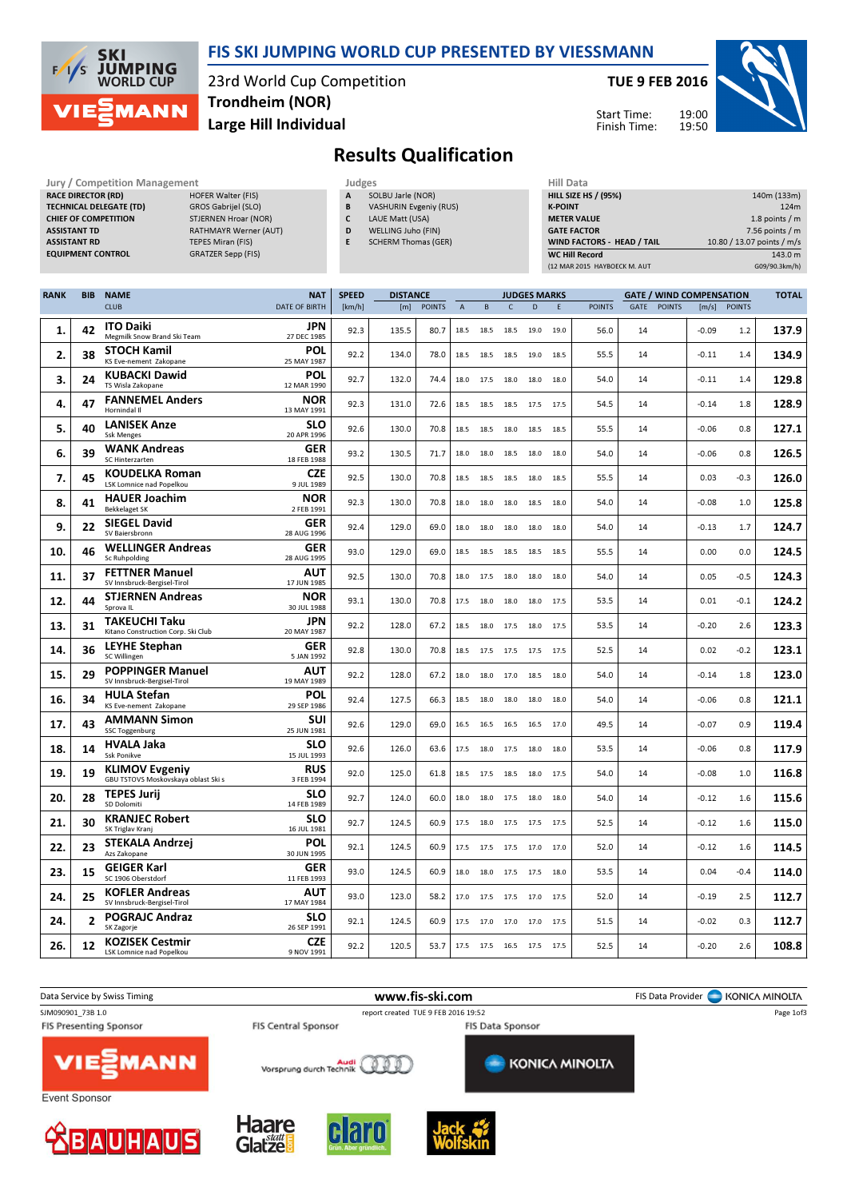

#### FIS SKI JUMPING WORLD CUP PRESENTED BY VIESSMANN

23rd World Cup Competition Large Hill Individual Trondheim (NOR)

TUE 9 FEB 2016

Start Time: Finish Time:



## Results Qualification

| <b>JULY / CONTREGRION IVIGHAGEMENT</b> |                             |
|----------------------------------------|-----------------------------|
| <b>RACE DIRECTOR (RD)</b>              | <b>HOFER Walter (FIS)</b>   |
| <b>TECHNICAL DELEGATE (TD)</b>         | GROS Gabrijel (SLO)         |
| <b>CHIEF OF COMPETITION</b>            | <b>STJERNEN Hroar (NOR)</b> |
| <b>ASSISTANT TD</b>                    | RATHMAYR Werner (AUT)       |
| <b>ASSISTANT RD</b>                    | <b>TEPES Miran (FIS)</b>    |
| <b>EQUIPMENT CONTROL</b>               | <b>GRATZER Sepp (FIS)</b>   |
|                                        |                             |

- Jury / Competition Management Judges Judges Hill Data Competition Management Judges Hill Data Competition Accepted Hill Data Competition Accepted Hill Data Competition Accepted Accepted Accepted Hill Data Competition Accep SOLBU Jarle (NOR) B VASHURIN Evgeniy (RUS) C LAUE Matt (USA)
	- D WELLING Juho (FIN)
	- E SCHERM Thomas (GER)

| Hill Data                         |                            |
|-----------------------------------|----------------------------|
| <b>HILL SIZE HS / (95%)</b>       | 140m (133m)                |
| <b>K-POINT</b>                    | 124m                       |
| <b>METER VALUE</b>                | 1.8 points $/m$            |
| <b>GATE FACTOR</b>                | $7.56$ points / m          |
| <b>WIND FACTORS - HEAD / TAIL</b> | 10.80 / 13.07 points / m/s |
| <b>WC Hill Record</b>             | 143.0 m                    |
| (12 MAR 2015 HAYBOECK M. AUT      | G09/90.3km/h)              |

| <b>RANK</b> | <b>BIB</b> | <b>NAME</b>                                                  | <b>NAT</b>                | <b>SPEED</b> | <b>DISTANCE</b> |               |                |      |                     | <b>JUDGES MARKS</b> |      |               |      |               |                       | <b>GATE / WIND COMPENSATION</b> |       |  |
|-------------|------------|--------------------------------------------------------------|---------------------------|--------------|-----------------|---------------|----------------|------|---------------------|---------------------|------|---------------|------|---------------|-----------------------|---------------------------------|-------|--|
|             |            | <b>CLUB</b>                                                  | <b>DATE OF BIRTH</b>      | [km/h]       | [m]             | <b>POINTS</b> | $\overline{A}$ | B    | $\mathsf{C}$        | D                   | E    | <b>POINTS</b> | GATE | <b>POINTS</b> | $\lfloor m/s \rfloor$ | <b>POINTS</b>                   |       |  |
| 1.          | 42         | <b>ITO Daiki</b><br>Megmilk Snow Brand Ski Team              | <b>JPN</b><br>27 DEC 1985 | 92.3         | 135.5           | 80.7          | 18.5           | 18.5 | 18.5                | 19.0                | 19.0 | 56.0          | 14   |               | $-0.09$               | 1.2                             | 137.9 |  |
| 2.          | 38         | STOCH Kamil<br>KS Eve-nement Zakopane                        | POL<br>25 MAY 1987        | 92.2         | 134.0           | 78.0          | 18.5           | 18.5 | 18.5 19.0           |                     | 18.5 | 55.5          | 14   |               | $-0.11$               | 1.4                             | 134.9 |  |
| 3.          | 24         | <b>KUBACKI Dawid</b><br>TS Wisla Zakopane                    | POL<br>12 MAR 1990        | 92.7         | 132.0           | 74.4          | 18.0           | 17.5 | 18.0                | 18.0                | 18.0 | 54.0          | 14   |               | $-0.11$               | 1.4                             | 129.8 |  |
| 4.          | 47         | <b>FANNEMEL Anders</b><br>Hornindal II                       | NOR<br>13 MAY 1991        | 92.3         | 131.0           | 72.6          | 18.5           | 18.5 | 18.5                | 17.5                | 17.5 | 54.5          | 14   |               | $-0.14$               | 1.8                             | 128.9 |  |
| 5.          | 40         | <b>LANISEK Anze</b><br><b>Ssk Menges</b>                     | <b>SLO</b><br>20 APR 1996 | 92.6         | 130.0           | 70.8          | 18.5           | 18.5 |                     | 18.0 18.5 18.5      |      | 55.5          | 14   |               | $-0.06$               | 0.8                             | 127.1 |  |
| 6.          | 39         | <b>WANK Andreas</b><br>SC Hinterzarten                       | GER<br>18 FEB 1988        | 93.2         | 130.5           | 71.7          | 18.0           | 18.0 | 18.5                | 18.0                | 18.0 | 54.0          | 14   |               | $-0.06$               | 0.8                             | 126.5 |  |
| 7.          | 45         | <b>KOUDELKA Roman</b><br>LSK Lomnice nad Popelkou            | <b>CZE</b><br>9 JUL 1989  | 92.5         | 130.0           | 70.8          | 18.5           | 18.5 | 18.5                | 18.0                | 18.5 | 55.5          | 14   |               | 0.03                  | $-0.3$                          | 126.0 |  |
| 8.          | 41         | <b>HAUER Joachim</b><br><b>Bekkelaget SK</b>                 | <b>NOR</b><br>2 FEB 1991  | 92.3         | 130.0           | 70.8          | 18.0           | 18.0 | 18.0                | 18.5                | 18.0 | 54.0          | 14   |               | $-0.08$               | 1.0                             | 125.8 |  |
| 9.          | 22         | <b>SIEGEL David</b><br>SV Baiersbronn                        | GER<br>28 AUG 1996        | 92.4         | 129.0           | 69.0          | 18.0           | 18.0 | 18.0                | 18.0                | 18.0 | 54.0          | 14   |               | $-0.13$               | 1.7                             | 124.7 |  |
| 10.         | 46         | <b>WELLINGER Andreas</b><br>Sc Ruhpolding                    | GER<br>28 AUG 1995        | 93.0         | 129.0           | 69.0          | 18.5           | 18.5 | 18.5 18.5           |                     | 18.5 | 55.5          | 14   |               | 0.00                  | 0.0                             | 124.5 |  |
| 11.         | 37         | <b>FETTNER Manuel</b><br>SV Innsbruck-Bergisel-Tirol         | AUT<br>17 JUN 1985        | 92.5         | 130.0           | 70.8          | 18.0           | 17.5 | 18.0                | 18.0                | 18.0 | 54.0          | 14   |               | 0.05                  | $-0.5$                          | 124.3 |  |
| 12.         | 44         | <b>STJERNEN Andreas</b><br>Sprova IL                         | <b>NOR</b><br>30 JUL 1988 | 93.1         | 130.0           | 70.8          | 17.5           | 18.0 | 18.0                | 18.0                | 17.5 | 53.5          | 14   |               | 0.01                  | $-0.1$                          | 124.2 |  |
| 13.         | 31         | TAKEUCHI Taku<br>Kitano Construction Corp. Ski Club          | JPN<br>20 MAY 1987        | 92.2         | 128.0           | 67.2          | 18.5           | 18.0 | 17.5 18.0 17.5      |                     |      | 53.5          | 14   |               | $-0.20$               | 2.6                             | 123.3 |  |
| 14.         | 36         | <b>LEYHE Stephan</b><br>SC Willingen                         | GER<br>5 JAN 1992         | 92.8         | 130.0           | 70.8          | 18.5           | 17.5 | 17.5                | 17.5                | 17.5 | 52.5          | 14   |               | 0.02                  | $-0.2$                          | 123.1 |  |
| 15.         | 29         | <b>POPPINGER Manuel</b><br>SV Innsbruck-Bergisel-Tirol       | AUT<br>19 MAY 1989        | 92.2         | 128.0           | 67.2          | 18.0           | 18.0 | 17.0                | 18.5                | 18.0 | 54.0          | 14   |               | $-0.14$               | 1.8                             | 123.0 |  |
| 16.         | 34         | <b>HULA Stefan</b><br>KS Eve-nement Zakopane                 | POL<br>29 SEP 1986        | 92.4         | 127.5           | 66.3          | 18.5           | 18.0 | 18.0                | 18.0                | 18.0 | 54.0          | 14   |               | $-0.06$               | 0.8                             | 121.1 |  |
| 17.         | 43         | <b>AMMANN Simon</b><br><b>SSC Toggenburg</b>                 | SUI<br>25 JUN 1981        | 92.6         | 129.0           | 69.0          | 16.5           | 16.5 | 16.5                | 16.5                | 17.0 | 49.5          | 14   |               | $-0.07$               | 0.9                             | 119.4 |  |
| 18.         | 14         | <b>HVALA Jaka</b><br><b>Ssk Ponikve</b>                      | <b>SLO</b><br>15 JUL 1993 | 92.6         | 126.0           | 63.6          | 17.5           | 18.0 | 17.5 18.0           |                     | 18.0 | 53.5          | 14   |               | $-0.06$               | 0.8                             | 117.9 |  |
| 19.         | 19         | <b>KLIMOV Evgeniy</b><br>GBU TSTOVS Moskovskaya oblast Ski s | <b>RUS</b><br>3 FEB 1994  | 92.0         | 125.0           | 61.8          | 18.5           | 17.5 | 18.5                | 18.0                | 17.5 | 54.0          | 14   |               | $-0.08$               | 1.0                             | 116.8 |  |
| 20.         | 28         | <b>TEPES Jurij</b><br>SD Dolomiti                            | <b>SLO</b><br>14 FEB 1989 | 92.7         | 124.0           | 60.0          | 18.0           | 18.0 | 17.5                | 18.0                | 18.0 | 54.0          | 14   |               | $-0.12$               | 1.6                             | 115.6 |  |
| 21.         | 30         | <b>KRANJEC Robert</b><br>SK Triglav Kranj                    | <b>SLO</b><br>16 JUL 1981 | 92.7         | 124.5           | 60.9          | 17.5           | 18.0 | 17.5 17.5 17.5      |                     |      | 52.5          | 14   |               | $-0.12$               | 1.6                             | 115.0 |  |
| 22.         | 23         | <b>STEKALA Andrzej</b><br>Azs Zakopane                       | POL<br>30 JUN 1995        | 92.1         | 124.5           | 60.9          | 17.5           | 17.5 | 17.5                | 17.0                | 17.0 | 52.0          | 14   |               | $-0.12$               | 1.6                             | 114.5 |  |
| 23.         | 15         | <b>GEIGER Karl</b><br>SC 1906 Oberstdorf                     | GER<br>11 FEB 1993        | 93.0         | 124.5           | 60.9          | 18.0           | 18.0 | 17.5 17.5           |                     | 18.0 | 53.5          | 14   |               | 0.04                  | $-0.4$                          | 114.0 |  |
| 24.         | 25         | <b>KOFLER Andreas</b><br>SV Innsbruck-Bergisel-Tirol         | AUT<br>17 MAY 1984        | 93.0         | 123.0           | 58.2          | 17.0           | 17.5 | 17.5                | 17.0                | 17.5 | 52.0          | 14   |               | $-0.19$               | 2.5                             | 112.7 |  |
| 24.         | 2          | <b>POGRAJC Andraz</b><br>SK Zagorje                          | <b>SLO</b><br>26 SEP 1991 | 92.1         | 124.5           | 60.9          | 17.5           |      | 17.0 17.0 17.0 17.5 |                     |      | 51.5          | 14   |               | $-0.02$               | 0.3                             | 112.7 |  |
| 26.         | 12         | <b>KOZISEK Cestmir</b><br>LSK Lomnice nad Popelkou           | <b>CZE</b><br>9 NOV 1991  | 92.2         | 120.5           | 53.7          | 17.5           |      | 17.5 16.5 17.5 17.5 |                     |      | 52.5          | 14   |               | $-0.20$               | 2.6                             | 108.8 |  |

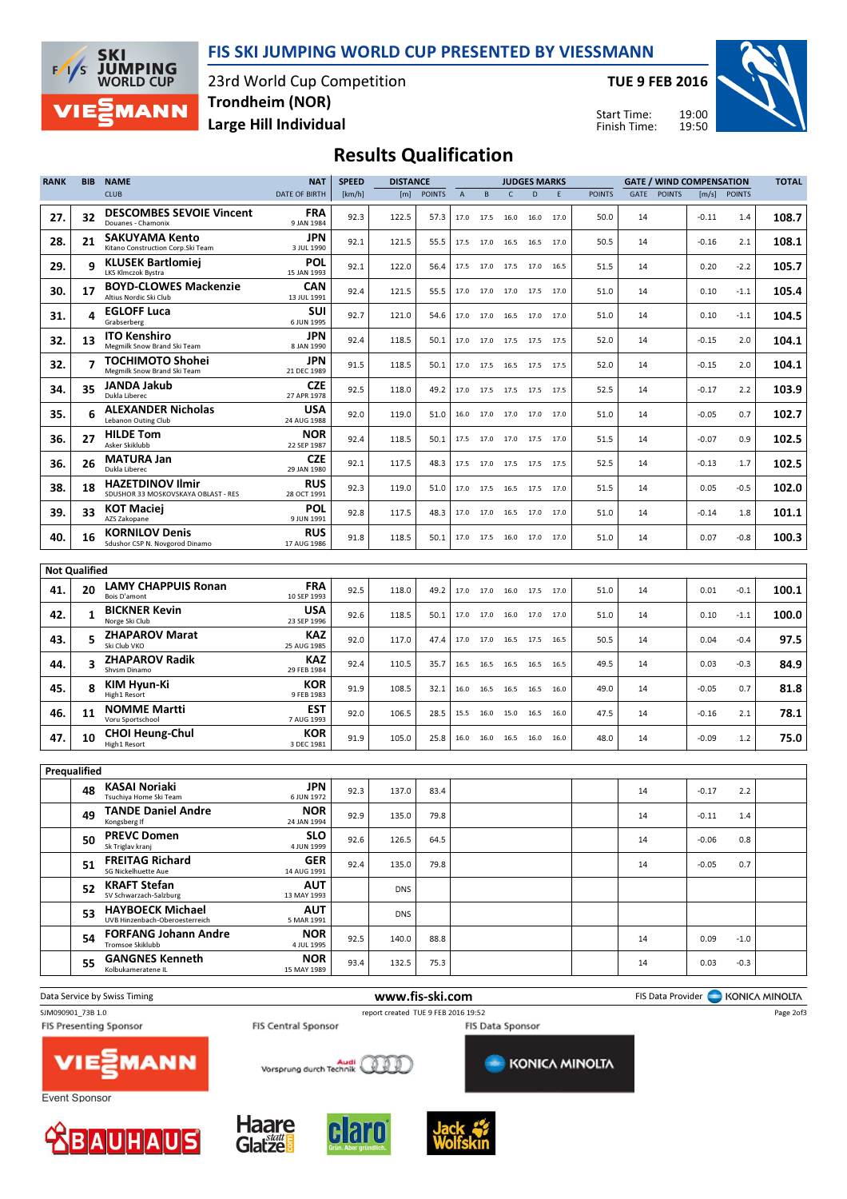



23rd World Cup Competition Large Hill Individual Trondheim (NOR)

TUE 9 FEB 2016

Start Time: Finish Time:



### Results Qualification

| <b>RANK</b>  | <b>BIB</b>               | <b>NAME</b>                                                    | <b>NAT</b>                | <b>SPEED</b> | <b>DISTANCE</b> |               |                |           |              | <b>JUDGES MARKS</b>      |      |               |      | <b>GATE / WIND COMPENSATION</b> |         |               | <b>TOTAL</b> |
|--------------|--------------------------|----------------------------------------------------------------|---------------------------|--------------|-----------------|---------------|----------------|-----------|--------------|--------------------------|------|---------------|------|---------------------------------|---------|---------------|--------------|
|              |                          | <b>CLUB</b>                                                    | <b>DATE OF BIRTH</b>      | [km/h]       | [m]             | <b>POINTS</b> | $\overline{A}$ | B         | $\mathsf{C}$ | D                        | E    | <b>POINTS</b> | GATE | <b>POINTS</b>                   | [m/s]   | <b>POINTS</b> |              |
| 27.          | 32                       | <b>DESCOMBES SEVOIE Vincent</b><br>Douanes - Chamonix          | <b>FRA</b><br>9 JAN 1984  | 92.3         | 122.5           | 57.3          | 17.0           | 17.5      | 16.0         | 16.0                     | 17.0 | 50.0          | 14   |                                 | $-0.11$ | 1.4           | 108.7        |
| 28.          | 21                       | SAKUYAMA Kento<br>Kitano Construction Corp.Ski Team            | JPN<br>3 JUL 1990         | 92.1         | 121.5           | 55.5          | 17.5           | 17.0      | 16.5         | 16.5                     | 17.0 | 50.5          | 14   |                                 | -0.16   | 2.1           | 108.1        |
| 29.          | 9                        | <b>KLUSEK Bartlomiej</b><br>LKS Klmczok Bystra                 | <b>POL</b><br>15 JAN 1993 | 92.1         | 122.0           | 56.4          | 17.5           | 17.0      | 17.5 17.0    |                          | 16.5 | 51.5          | 14   |                                 | 0.20    | $-2.2$        | 105.7        |
| 30.          | 17                       | <b>BOYD-CLOWES Mackenzie</b><br>Altius Nordic Ski Club         | CAN<br>13 JUL 1991        | 92.4         | 121.5           | 55.5          | 17.0           | 17.0      | 17.0         | 17.5                     | 17.0 | 51.0          | 14   |                                 | 0.10    | $-1.1$        | 105.4        |
| 31.          | 4                        | <b>EGLOFF Luca</b><br>Grabserberg                              | SUI<br>6 JUN 1995         | 92.7         | 121.0           | 54.6          | 17.0           | 17.0      | 16.5         | 17.0 17.0                |      | 51.0          | 14   |                                 | 0.10    | $-1.1$        | 104.5        |
| 32.          | 13                       | <b>ITO Kenshiro</b><br>Megmilk Snow Brand Ski Team             | JPN<br>8 JAN 1990         | 92.4         | 118.5           | 50.1          |                | 17.0 17.0 |              | 17.5 17.5 17.5           |      | 52.0          | 14   |                                 | $-0.15$ | 2.0           | 104.1        |
| 32.          | $\overline{\phantom{a}}$ | <b>TOCHIMOTO Shohei</b><br>Megmilk Snow Brand Ski Team         | JPN<br>21 DEC 1989        | 91.5         | 118.5           | 50.1          |                | 17.0 17.5 |              | 16.5 17.5 17.5           |      | 52.0          | 14   |                                 | $-0.15$ | 2.0           | 104.1        |
| 34.          | 35                       | JANDA Jakub<br>Dukla Liberec                                   | <b>CZE</b><br>27 APR 1978 | 92.5         | 118.0           | 49.2          |                | 17.0 17.5 |              | 17.5 17.5 17.5           |      | 52.5          | 14   |                                 | $-0.17$ | 2.2           | 103.9        |
| 35.          | 6                        | <b>ALEXANDER Nicholas</b><br>Lebanon Outing Club               | USA<br>24 AUG 1988        | 92.0         | 119.0           | 51.0          | 16.0           | 17.0      | 17.0         | 17.0 17.0                |      | 51.0          | 14   |                                 | $-0.05$ | 0.7           | 102.7        |
| 36.          | 27                       | <b>HILDE Tom</b><br>Asker Skiklubb                             | <b>NOR</b><br>22 SEP 1987 | 92.4         | 118.5           | 50.1          |                | 17.5 17.0 |              | 17.0 17.5 17.0           |      | 51.5          | 14   |                                 | $-0.07$ | 0.9           | 102.5        |
| 36.          | 26                       | <b>MATURA Jan</b><br>Dukla Liberec                             | <b>CZE</b><br>29 JAN 1980 | 92.1         | 117.5           | 48.3          | 17.5           | 17.0      | 17.5         | 17.5                     | 17.5 | 52.5          | 14   |                                 | $-0.13$ | 1.7           | 102.5        |
| 38.          | 18                       | <b>HAZETDINOV Ilmir</b><br>SDUSHOR 33 MOSKOVSKAYA OBLAST - RES | RUS<br>28 OCT 1991        | 92.3         | 119.0           | 51.0          | 17.0           | 17.5      | 16.5         | 17.5                     | 17.0 | 51.5          | 14   |                                 | 0.05    | $-0.5$        | 102.0        |
| 39.          | 33                       | <b>KOT Maciej</b><br>AZS Zakopane                              | <b>POL</b><br>9 JUN 1991  | 92.8         | 117.5           | 48.3          | 17.0           | 17.0      | 16.5         | 17.0                     | 17.0 | 51.0          | 14   |                                 | $-0.14$ | 1.8           | 101.1        |
| 40.          | 16                       | <b>KORNILOV Denis</b><br>Sdushor CSP N. Novgorod Dinamo        | RUS<br>17 AUG 1986        | 91.8         | 118.5           | 50.1          |                |           |              | 17.0 17.5 16.0 17.0 17.0 |      | 51.0          | 14   |                                 | 0.07    | $-0.8$        | 100.3        |
|              | <b>Not Oualified</b>     |                                                                |                           |              |                 |               |                |           |              |                          |      |               |      |                                 |         |               |              |
| 41.          | 20                       | <b>LAMY CHAPPUIS Ronan</b><br>Bois D'amont                     | <b>FRA</b><br>10 SEP 1993 | 92.5         | 118.0           | 49.2          | 17.0           | 17.0      | 16.0         | 17.5                     | 17.0 | 51.0          | 14   |                                 | 0.01    | $-0.1$        | 100.1        |
| 42.          | 1                        | <b>BICKNER Kevin</b><br>Norge Ski Club                         | <b>USA</b><br>23 SEP 1996 | 92.6         | 118.5           | 50.1          | 17.0           | 17.0      | 16.0         | 17.0 17.0                |      | 51.0          | 14   |                                 | 0.10    | $-1.1$        | 100.0        |
| 43.          | 5.                       | <b>ZHAPAROV Marat</b><br>Ski Club VKO                          | <b>KAZ</b><br>25 AUG 1985 | 92.0         | 117.0           | 47.4          |                | 17.0 17.0 |              | 16.5 17.5                | 16.5 | 50.5          | 14   |                                 | 0.04    | $-0.4$        | 97.5         |
| 44.          |                          | <b>ZHAPAROV Radik</b><br>Shvsm Dinamo                          | <b>KAZ</b><br>29 FEB 1984 | 92.4         | 110.5           | 35.7          |                | 16.5 16.5 |              | 16.5 16.5                | 16.5 | 49.5          | 14   |                                 | 0.03    | $-0.3$        | 84.9         |
| 45.          | R                        | KIM Hyun-Ki<br>High1 Resort                                    | KOR<br>9 FEB 1983         | 91.9         | 108.5           | 32.1          | 16.0           | 16.5      | 16.5         | 16.5                     | 16.0 | 49.0          | 14   |                                 | $-0.05$ | 0.7           | 81.8         |
| 46.          | 11                       | <b>NOMME Martti</b><br>Voru Sportschool                        | <b>EST</b><br>7 AUG 1993  | 92.0         | 106.5           | 28.5          | 15.5           | 16.0      | 15.0         | 16.5                     | 16.0 | 47.5          | 14   |                                 | $-0.16$ | 2.1           | 78.1         |
| 47.          | 10                       | <b>CHOI Heung-Chul</b><br>High1 Resort                         | <b>KOR</b><br>3 DEC 1981  | 91.9         | 105.0           | 25.8          | 16.0           | 16.0      | 16.5 16.0    |                          | 16.0 | 48.0          | 14   |                                 | $-0.09$ | 1.2           | 75.0         |
| Prequalified |                          |                                                                |                           |              |                 |               |                |           |              |                          |      |               |      |                                 |         |               |              |
|              | 48                       | KASAI Noriaki<br>Tsuchiya Home Ski Team                        | <b>JPN</b><br>6 JUN 1972  | 92.3         | 137.0           | 83.4          |                |           |              |                          |      |               | 14   |                                 | $-0.17$ | 2.2           |              |
|              | 49                       | <b>TANDE Daniel Andre</b><br>Kongsberg If                      | <b>NOR</b><br>24 JAN 1994 | 92.9         | 135.0           | 79.8          |                |           |              |                          |      |               | 14   |                                 | $-0.11$ | 1.4           |              |
|              | 50                       | <b>PREVC Domen</b><br>Sk Triglav kranj                         | <b>SLO</b><br>4 JUN 1999  | 92.6         | 126.5           | 64.5          |                |           |              |                          |      |               | 14   |                                 | $-0.06$ | 0.8           |              |
|              | 51                       | <b>FREITAG Richard</b><br>SG Nickelhuette Aue                  | <b>GER</b><br>14 AUG 1991 | 92.4         | 135.0           | 79.8          |                |           |              |                          |      |               | 14   |                                 | $-0.05$ | 0.7           |              |
|              | 52                       | <b>KRAFT Stefan</b><br>SV Schwarzach-Salzburg                  | <b>AUT</b><br>13 MAY 1993 |              | <b>DNS</b>      |               |                |           |              |                          |      |               |      |                                 |         |               |              |
|              | 53                       | <b>HAYBOECK Michael</b><br>UVB Hinzenbach-Oberoesterreich      | <b>AUT</b><br>5 MAR 1991  |              | <b>DNS</b>      |               |                |           |              |                          |      |               |      |                                 |         |               |              |
|              | 54                       | <b>FORFANG Johann Andre</b><br>Tromsoe Skiklubb                | <b>NOR</b><br>4 JUL 1995  | 92.5         | 140.0           | 88.8          |                |           |              |                          |      |               | 14   |                                 | 0.09    | $-1.0$        |              |
|              | 55                       | <b>GANGNES Kenneth</b><br>Kolbukameratene IL                   | <b>NOR</b><br>15 MAY 1989 | 93.4         | 132.5           | 75.3          |                |           |              |                          |      |               | 14   |                                 | 0.03    | $-0.3$        |              |
|              |                          |                                                                |                           |              |                 |               |                |           |              |                          |      |               |      |                                 |         |               |              |